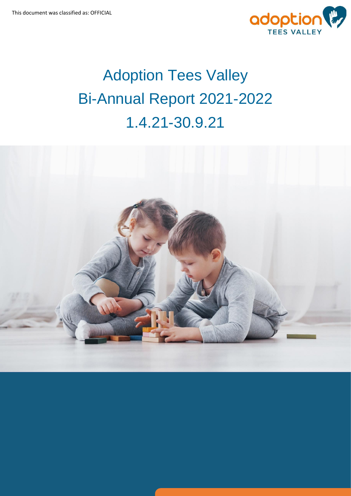

# Adoption Tees Valley Bi-Annual Report 2021-2022 1.4.21-30.9.21

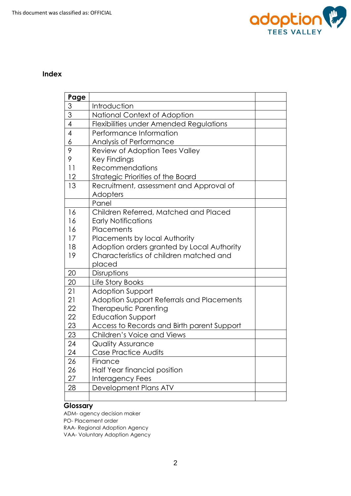

#### **Index**

| Page           |                                            |  |
|----------------|--------------------------------------------|--|
| $\overline{3}$ | Introduction                               |  |
| $\overline{3}$ | National Context of Adoption               |  |
| $\overline{4}$ | Flexibilities under Amended Regulations    |  |
| 4              | Performance Information                    |  |
| 6              | Analysis of Performance                    |  |
| 9              | Review of Adoption Tees Valley             |  |
| 9              | <b>Key Findings</b>                        |  |
| 11             | Recommendations                            |  |
| 12             | Strategic Priorities of the Board          |  |
| 13             | Recruitment, assessment and Approval of    |  |
|                | Adopters                                   |  |
|                | Panel                                      |  |
| 16             | Children Referred, Matched and Placed      |  |
| 16             | <b>Early Notifications</b>                 |  |
| 16             | Placements                                 |  |
| 17             | Placements by local Authority              |  |
| 18             | Adoption orders granted by Local Authority |  |
| 19             | Characteristics of children matched and    |  |
|                | placed                                     |  |
| 20             | Disruptions                                |  |
| 20             | Life Story Books                           |  |
| 21             | <b>Adoption Support</b>                    |  |
| 21             | Adoption Support Referrals and Placements  |  |
| 22             | Therapeutic Parenting                      |  |
| 22             | <b>Education Support</b>                   |  |
| 23             | Access to Records and Birth parent Support |  |
| 23             | Children's Voice and Views                 |  |
| 24             | <b>Quality Assurance</b>                   |  |
| 24             | <b>Case Practice Audits</b>                |  |
| 26             | Finance                                    |  |
| 26             | Half Year financial position               |  |
| 27             | Interagency Fees                           |  |
| 28             | Development Plans ATV                      |  |
|                |                                            |  |

# **Glossary**

ADM- agency decision maker PO- Placement order RAA- Regional Adoption Agency VAA- Voluntary Adoption Agency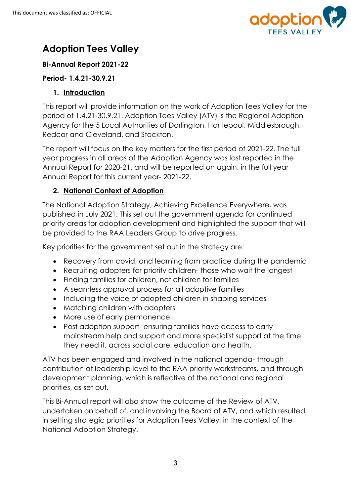

# **Adoption Tees Valley**

# **Bi-Annual Report 2021-22**

# **Period- 1.4.21-30.9.21**

# **1. Introduction**

This report will provide information on the work of Adoption Tees Valley for the period of 1.4.21-30.9.21. Adoption Tees Valley (ATV) is the Regional Adoption Agency for the 5 Local Authorities of Darlington, Hartlepool, Middlesbrough, Redcar and Cleveland, and Stockton.

The report will focus on the key matters for the first period of 2021-22. The full year progress in all areas of the Adoption Agency was last reported in the Annual Report for 2020-21, and will be reported on again, in the full year Annual Report for this current year- 2021-22.

# **2. National Context of Adoption**

The National Adoption Strategy, Achieving Excellence Everywhere, was published in July 2021. This set out the government agenda for continued priority areas for adoption development and highlighted the support that will be provided to the RAA Leaders Group to drive progress.

Key priorities for the government set out in the strategy are:

- Recovery from covid, and learning from practice during the pandemic
- Recruiting adopters for priority children- those who wait the longest
- Finding families for children, not children for families
- A seamless approval process for all adoptive families
- Including the voice of adopted children in shaping services
- Matching children with adopters
- More use of early permanence
- Post adoption support- ensuring families have access to early mainstream help and support and more specialist support at the time they need it, across social care, education and health.

ATV has been engaged and involved in the national agenda- through contribution at leadership level to the RAA priority workstreams, and through development planning, which is reflective of the national and regional priorities, as set out.

This Bi-Annual report will also show the outcome of the Review of ATV, undertaken on behalf of, and involving the Board of ATV, and which resulted in setting strategic priorities for Adoption Tees Valley, in the context of the National Adoption Strategy.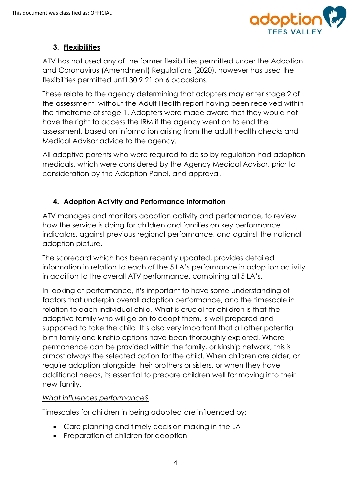

# **3. Flexibilities**

ATV has not used any of the former flexibilities permitted under the Adoption and Coronavirus (Amendment) Regulations (2020), however has used the flexibilities permitted until 30.9.21 on 6 occasions.

These relate to the agency determining that adopters may enter stage 2 of the assessment, without the Adult Health report having been received within the timeframe of stage 1. Adopters were made aware that they would not have the right to access the IRM if the agency went on to end the assessment, based on information arising from the adult health checks and Medical Advisor advice to the agency.

All adoptive parents who were required to do so by regulation had adoption medicals, which were considered by the Agency Medical Advisor, prior to consideration by the Adoption Panel, and approval.

# **4. Adoption Activity and Performance Information**

ATV manages and monitors adoption activity and performance, to review how the service is doing for children and families on key performance indicators, against previous regional performance, and against the national adoption picture.

The scorecard which has been recently updated, provides detailed information in relation to each of the 5 LA's performance in adoption activity, in addition to the overall ATV performance, combining all 5 LA's.

In looking at performance, it's important to have some understanding of factors that underpin overall adoption performance, and the timescale in relation to each individual child. What is crucial for children is that the adoptive family who will go on to adopt them, is well prepared and supported to take the child. It's also very important that all other potential birth family and kinship options have been thoroughly explored. Where permanence can be provided within the family, or kinship network, this is almost always the selected option for the child. When children are older, or require adoption alongside their brothers or sisters, or when they have additional needs, its essential to prepare children well for moving into their new family.

#### *What influences performance?*

Timescales for children in being adopted are influenced by:

- Care planning and timely decision making in the LA
- Preparation of children for adoption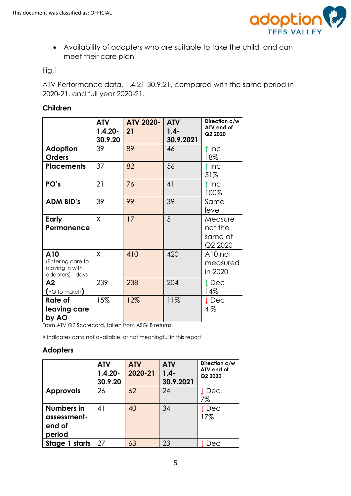

 Availability of adopters who are suitable to take the child, and can meet their care plan

Fig.1

ATV Performance data, 1.4.21-30.9.21, compared with the same period in 2020-21, and full year 2020-21.

### **Children**

|                                                                | <b>ATV</b><br>$1.4.20 -$<br>30.9.20 | <b>ATV 2020-</b><br>21 | <b>ATV</b><br>$1.4 -$<br>30.9.2021 | Direction c/w<br>ATV end of<br>Q2 2020   |
|----------------------------------------------------------------|-------------------------------------|------------------------|------------------------------------|------------------------------------------|
| <b>Adoption</b><br><b>Orders</b>                               | 39                                  | 89                     | 46                                 | $\uparrow$ Inc<br>18%                    |
| <b>Placements</b>                                              | 37                                  | 82                     | 56                                 | $\uparrow$ Inc<br>51%                    |
| PO's                                                           | 21                                  | 76                     | 41                                 | ↑ Inc<br>100%                            |
| <b>ADM BID's</b>                                               | 39                                  | 99                     | 39                                 | Same<br>level                            |
| Early<br>Permanence                                            | X                                   | 17                     | 5                                  | Measure<br>not the<br>same at<br>Q2 2020 |
| A10<br>(Entering care to<br>moving in with<br>adopters) - days | X                                   | 410                    | 420                                | A10 not<br>measured<br>in 2020           |
| A2<br>$($ PO to match $)$                                      | 239                                 | 238                    | 204                                | $\downarrow$ Dec<br>14%                  |
| Rate of<br>leaving care<br>by AO                               | 15%                                 | 12%                    | 11%                                | $\downarrow$ Dec<br>$4\%$                |

From ATV Q2 Scorecard, taken from ASGLB returns.

X indicates data not available, or not meaningful in this report

#### **Adopters**

|                                                      | <b>ATV</b><br>$1.4.20 -$<br>30.9.20 | <b>ATV</b><br>2020-21 | <b>ATV</b><br>$1.4 -$<br>30.9.2021 | Direction c/w<br>ATV end of<br>Q2 2020 |
|------------------------------------------------------|-------------------------------------|-----------------------|------------------------------------|----------------------------------------|
| <b>Approvals</b>                                     | 26                                  | 62                    | 24                                 | ↓Dec<br>7%                             |
| <b>Numbers in</b><br>assessment-<br>end of<br>period | 41                                  | 40                    | 34                                 | ↓Dec<br>17%                            |
| Stage 1 starts                                       | 27                                  | 63                    | 23                                 | Dec                                    |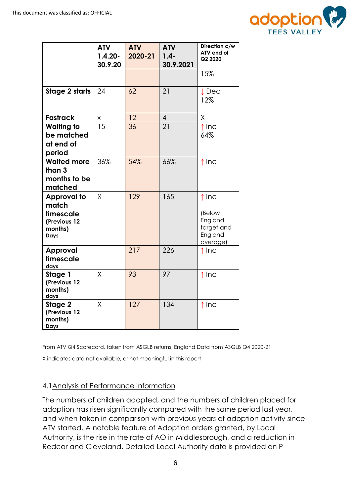

|                                                                             | <b>ATV</b><br>$1.4.20 -$<br>30.9.20 | <b>ATV</b><br>2020-21 | <b>ATV</b><br>$1.4 -$<br>30.9.2021 | Direction c/w<br>ATV end of<br>Q2 2020                                   |
|-----------------------------------------------------------------------------|-------------------------------------|-----------------------|------------------------------------|--------------------------------------------------------------------------|
|                                                                             |                                     |                       |                                    | 15%                                                                      |
| <b>Stage 2 starts</b>                                                       | 24                                  | 62                    | 21                                 | $\downarrow$ Dec<br>12%                                                  |
| <b>Fastrack</b>                                                             | X.                                  | 12                    | $\overline{4}$                     | $\sf X$                                                                  |
| <b>Waiting to</b><br>be matched<br>at end of<br>period                      | 15                                  | 36                    | 21                                 | $\uparrow$ Inc<br>64%                                                    |
| <b>Waited more</b><br>than 3<br>months to be<br>matched                     | 36%                                 | 54%                   | 66%                                | $\uparrow$ Inc                                                           |
| <b>Approval to</b><br>match<br>timescale<br>(Previous 12<br>months)<br>Days | X                                   | 129                   | 165                                | $\uparrow$ Inc<br>(Below<br>England<br>target and<br>England<br>average) |
| <b>Approval</b><br>timescale<br>days                                        |                                     | 217                   | 226                                | $\uparrow$ Inc                                                           |
| Stage 1<br>(Previous 12<br>months)<br>days                                  | X                                   | 93                    | 97                                 | $\uparrow$ Inc                                                           |
| Stage 2<br>(Previous 12<br>months)<br><b>Days</b>                           | Χ                                   | 127                   | 134                                | ↑ Inc                                                                    |

From ATV Q4 Scorecard, taken from ASGLB returns, England Data from ASGLB Q4 2020-21

X indicates data not available, or not meaningful in this report

#### 4.1Analysis of Performance Information

The numbers of children adopted, and the numbers of children placed for adoption has risen significantly compared with the same period last year, and when taken in comparison with previous years of adoption activity since ATV started. A notable feature of Adoption orders granted, by Local Authority, is the rise in the rate of AO in Middlesbrough, and a reduction in Redcar and Cleveland. Detailed Local Authority data is provided on P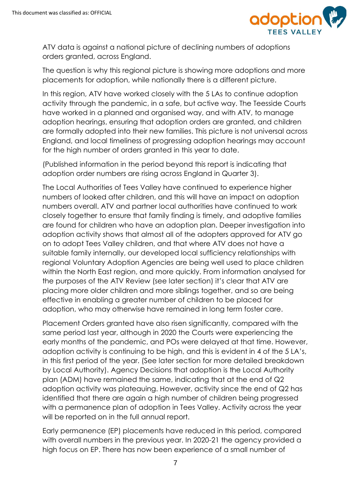

ATV data is against a national picture of declining numbers of adoptions orders granted, across England.

The question is why this regional picture is showing more adoptions and more placements for adoption, while nationally there is a different picture.

In this region, ATV have worked closely with the 5 LAs to continue adoption activity through the pandemic, in a safe, but active way. The Teesside Courts have worked in a planned and organised way, and with ATV, to manage adoption hearings, ensuring that adoption orders are granted, and children are formally adopted into their new families. This picture is not universal across England, and local timeliness of progressing adoption hearings may account for the high number of orders granted in this year to date.

(Published information in the period beyond this report is indicating that adoption order numbers are rising across England in Quarter 3).

The Local Authorities of Tees Valley have continued to experience higher numbers of looked after children, and this will have an impact on adoption numbers overall. ATV and partner local authorities have continued to work closely together to ensure that family finding is timely, and adoptive families are found for children who have an adoption plan. Deeper investigation into adoption activity shows that almost all of the adopters approved for ATV go on to adopt Tees Valley children, and that where ATV does not have a suitable family internally, our developed local sufficiency relationships with regional Voluntary Adoption Agencies are being well used to place children within the North East region, and more quickly. From information analysed for the purposes of the ATV Review (see later section) it's clear that ATV are placing more older children and more siblings together, and so are being effective in enabling a greater number of children to be placed for adoption, who may otherwise have remained in long term foster care.

Placement Orders granted have also risen significantly, compared with the same period last year, although in 2020 the Courts were experiencing the early months of the pandemic, and POs were delayed at that time. However, adoption activity is continuing to be high, and this is evident in 4 of the 5 LA's, in this first period of the year. (See later section for more detailed breakdown by Local Authority). Agency Decisions that adoption is the Local Authority plan (ADM) have remained the same, indicating that at the end of Q2 adoption activity was plateauing. However, activity since the end of Q2 has identified that there are again a high number of children being progressed with a permanence plan of adoption in Tees Valley. Activity across the year will be reported on in the full annual report.

Early permanence (EP) placements have reduced in this period, compared with overall numbers in the previous year. In 2020-21 the agency provided a high focus on EP. There has now been experience of a small number of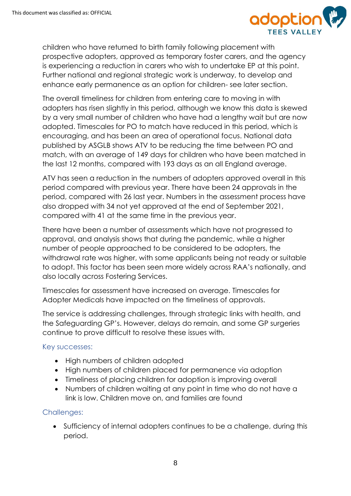

children who have returned to birth family following placement with prospective adopters, approved as temporary foster carers, and the agency is experiencing a reduction in carers who wish to undertake EP at this point. Further national and regional strategic work is underway, to develop and enhance early permanence as an option for children- see later section.

The overall timeliness for children from entering care to moving in with adopters has risen slightly in this period, although we know this data is skewed by a very small number of children who have had a lengthy wait but are now adopted. Timescales for PO to match have reduced in this period, which is encouraging, and has been an area of operational focus. National data published by ASGLB shows ATV to be reducing the time between PO and match, with an average of 149 days for children who have been matched in the last 12 months, compared with 193 days as an all England average.

ATV has seen a reduction in the numbers of adopters approved overall in this period compared with previous year. There have been 24 approvals in the period, compared with 26 last year. Numbers in the assessment process have also dropped with 34 not yet approved at the end of September 2021, compared with 41 at the same time in the previous year.

There have been a number of assessments which have not progressed to approval, and analysis shows that during the pandemic, while a higher number of people approached to be considered to be adopters, the withdrawal rate was higher, with some applicants being not ready or suitable to adopt. This factor has been seen more widely across RAA's nationally, and also locally across Fostering Services.

Timescales for assessment have increased on average. Timescales for Adopter Medicals have impacted on the timeliness of approvals.

The service is addressing challenges, through strategic links with health, and the Safeguarding GP's. However, delays do remain, and some GP surgeries continue to prove difficult to resolve these issues with.

#### Key successes:

- High numbers of children adopted
- High numbers of children placed for permanence via adoption
- Timeliness of placing children for adoption is improving overall
- Numbers of children waiting at any point in time who do not have a link is low. Children move on, and families are found

#### Challenges:

 Sufficiency of internal adopters continues to be a challenge, during this period.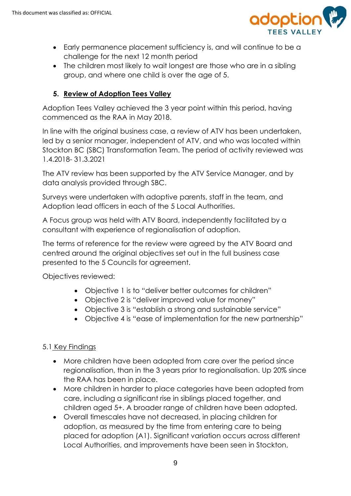

- Early permanence placement sufficiency is, and will continue to be a challenge for the next 12 month period
- The children most likely to wait longest are those who are in a sibling group, and where one child is over the age of 5.

# **5. Review of Adoption Tees Valley**

Adoption Tees Valley achieved the 3 year point within this period, having commenced as the RAA in May 2018.

In line with the original business case, a review of ATV has been undertaken, led by a senior manager, independent of ATV, and who was located within Stockton BC (SBC) Transformation Team. The period of activity reviewed was 1.4.2018- 31.3.2021

The ATV review has been supported by the ATV Service Manager, and by data analysis provided through SBC.

Surveys were undertaken with adoptive parents, staff in the team, and Adoption lead officers in each of the 5 Local Authorities.

A Focus group was held with ATV Board, independently facilitated by a consultant with experience of regionalisation of adoption.

The terms of reference for the review were agreed by the ATV Board and centred around the original objectives set out in the full business case presented to the 5 Councils for agreement.

Objectives reviewed:

- Objective 1 is to "deliver better outcomes for children"
- Objective 2 is "deliver improved value for money"
- Objective 3 is "establish a strong and sustainable service"
- Objective 4 is "ease of implementation for the new partnership"

# 5.1 Key Findings

- More children have been adopted from care over the period since regionalisation, than in the 3 years prior to regionalisation. Up 20% since the RAA has been in place.
- More children in harder to place categories have been adopted from care, including a significant rise in siblings placed together, and children aged 5+. A broader range of children have been adopted.
- Overall timescales have not decreased, in placing children for adoption, as measured by the time from entering care to being placed for adoption (A1). Significant variation occurs across different Local Authorities, and improvements have been seen in Stockton,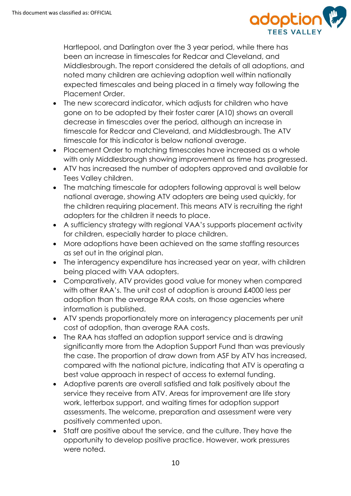

Hartlepool, and Darlington over the 3 year period, while there has been an increase in timescales for Redcar and Cleveland, and Middlesbrough. The report considered the details of all adoptions, and noted many children are achieving adoption well within nationally expected timescales and being placed in a timely way following the Placement Order.

- The new scorecard indicator, which adjusts for children who have gone on to be adopted by their foster carer (A10) shows an overall decrease in timescales over the period, although an increase in timescale for Redcar and Cleveland, and Middlesbrough. The ATV timescale for this indicator is below national average.
- Placement Order to matching timescales have increased as a whole with only Middlesbrough showing improvement as time has progressed.
- ATV has increased the number of adopters approved and available for Tees Valley children.
- The matching timescale for adopters following approval is well below national average, showing ATV adopters are being used quickly, for the children requiring placement. This means ATV is recruiting the right adopters for the children it needs to place.
- A sufficiency strategy with regional VAA's supports placement activity for children, especially harder to place children.
- More adoptions have been achieved on the same staffing resources as set out in the original plan.
- The interagency expenditure has increased year on year, with children being placed with VAA adopters.
- Comparatively, ATV provides good value for money when compared with other RAA's. The unit cost of adoption is around £4000 less per adoption than the average RAA costs, on those agencies where information is published.
- ATV spends proportionately more on interagency placements per unit cost of adoption, than average RAA costs.
- The RAA has staffed an adoption support service and is drawing significantly more from the Adoption Support Fund than was previously the case. The proportion of draw down from ASF by ATV has increased, compared with the national picture, indicating that ATV is operating a best value approach in respect of access to external funding.
- Adoptive parents are overall satisfied and talk positively about the service they receive from ATV. Areas for improvement are life story work, letterbox support, and waiting times for adoption support assessments. The welcome, preparation and assessment were very positively commented upon.
- Staff are positive about the service, and the culture. They have the opportunity to develop positive practice. However, work pressures were noted.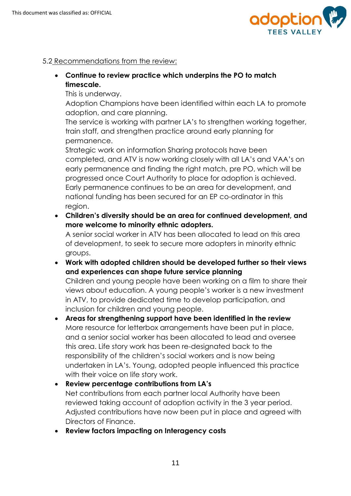

# 5.2 Recommendations from the review:

 **Continue to review practice which underpins the PO to match timescale.** 

This is underway.

Adoption Champions have been identified within each LA to promote adoption, and care planning.

The service is working with partner LA's to strengthen working together, train staff, and strengthen practice around early planning for permanence.

Strategic work on information Sharing protocols have been completed, and ATV is now working closely with all LA's and VAA's on early permanence and finding the right match, pre PO, which will be progressed once Court Authority to place for adoption is achieved. Early permanence continues to be an area for development, and national funding has been secured for an EP co-ordinator in this region.

 **Children's diversity should be an area for continued development, and more welcome to minority ethnic adopters.** 

A senior social worker in ATV has been allocated to lead on this area of development, to seek to secure more adopters in minority ethnic groups.

 **Work with adopted children should be developed further so their views and experiences can shape future service planning**

Children and young people have been working on a film to share their views about education. A young people's worker is a new investment in ATV, to provide dedicated time to develop participation, and inclusion for children and young people.

 **Areas for strengthening support have been identified in the review**  More resource for letterbox arrangements have been put in place, and a senior social worker has been allocated to lead and oversee this area. Life story work has been re-designated back to the responsibility of the children's social workers and is now being undertaken in LA's. Young, adopted people influenced this practice with their voice on life story work.

# **Review percentage contributions from LA's** Net contributions from each partner local Authority have been reviewed taking account of adoption activity in the 3 year period. Adjusted contributions have now been put in place and agreed with Directors of Finance.

**Review factors impacting on Interagency costs**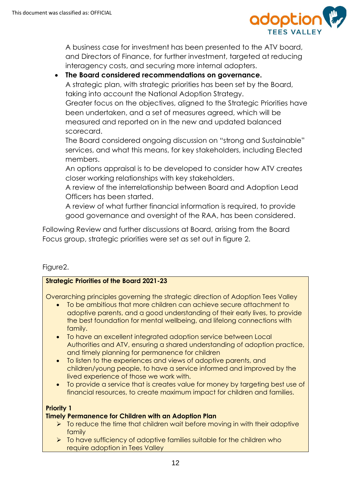

A business case for investment has been presented to the ATV board, and Directors of Finance, for further investment, targeted at reducing interagency costs, and securing more internal adopters.

### **The Board considered recommendations on governance.**

A strategic plan, with strategic priorities has been set by the Board, taking into account the National Adoption Strategy.

Greater focus on the objectives, aligned to the Strategic Priorities have been undertaken, and a set of measures agreed, which will be measured and reported on in the new and updated balanced scorecard.

The Board considered ongoing discussion on "strong and Sustainable" services, and what this means, for key stakeholders, including Elected members.

An options appraisal is to be developed to consider how ATV creates closer working relationships with key stakeholders.

A review of the interrelationship between Board and Adoption Lead Officers has been started.

A review of what further financial information is required, to provide good governance and oversight of the RAA, has been considered.

Following Review and further discussions at Board, arising from the Board Focus group, strategic priorities were set as set out in figure 2.

# Figure2.

#### **Strategic Priorities of the Board 2021-23**

Overarching principles governing the strategic direction of Adoption Tees Valley

- To be ambitious that more children can achieve secure attachment to adoptive parents, and a good understanding of their early lives, to provide the best foundation for mental wellbeing, and lifelong connections with family.
- To have an excellent integrated adoption service between Local Authorities and ATV, ensuring a shared understanding of adoption practice, and timely planning for permanence for children
- To listen to the experiences and views of adoptive parents, and children/young people, to have a service informed and improved by the lived experience of those we work with.
- To provide a service that is creates value for money by targeting best use of financial resources, to create maximum impact for children and families.

#### **Priority 1**

#### **Timely Permanence for Children with an Adoption Plan**

- $\triangleright$  To reduce the time that children wait before moving in with their adoptive family
- $\triangleright$  To have sufficiency of adoptive families suitable for the children who require adoption in Tees Valley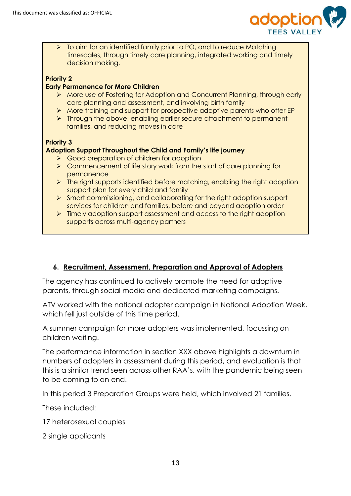

 $\triangleright$  To aim for an identified family prior to PO, and to reduce Matching timescales, through timely care planning, integrated working and timely decision making.

#### **Priority 2**

#### **Early Permanence for More Children**

- More use of Fostering for Adoption and Concurrent Planning, through early care planning and assessment, and involving birth family
- More training and support for prospective adoptive parents who offer EP
- $\triangleright$  Through the above, enabling earlier secure attachment to permanent families, and reducing moves in care

#### **Priority 3**

#### **Adoption Support Throughout the Child and Family's life journey**

- **►** Good preparation of children for adoption
- $\triangleright$  Commencement of life story work from the start of care planning for permanence
- $\triangleright$  The right supports identified before matching, enabling the right adoption support plan for every child and family
- $\triangleright$  Smart commissioning, and collaborating for the right adoption support services for children and families, before and beyond adoption order
- $\triangleright$  Timely adoption support assessment and access to the right adoption supports across multi-agency partners

# **6. Recruitment, Assessment, Preparation and Approval of Adopters**

The agency has continued to actively promote the need for adoptive parents, through social media and dedicated marketing campaigns.

ATV worked with the national adopter campaign in National Adoption Week, which fell just outside of this time period.

A summer campaign for more adopters was implemented, focussing on children waiting.

The performance information in section XXX above highlights a downturn in numbers of adopters in assessment during this period, and evaluation is that this is a similar trend seen across other RAA's, with the pandemic being seen to be coming to an end.

In this period 3 Preparation Groups were held, which involved 21 families.

These included:

17 heterosexual couples

2 single applicants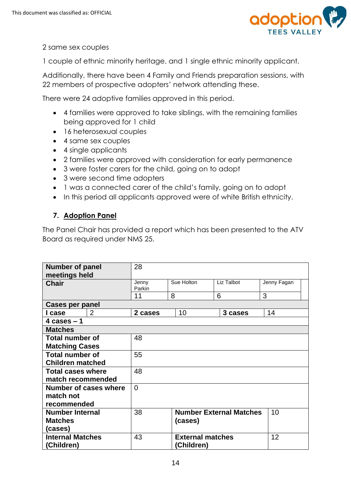

2 same sex couples

1 couple of ethnic minority heritage, and 1 single ethnic minority applicant.

Additionally, there have been 4 Family and Friends preparation sessions, with 22 members of prospective adopters' network attending these.

There were 24 adoptive families approved in this period.

- 4 families were approved to take siblings, with the remaining families being approved for 1 child
- 16 heterosexual couples
- 4 same sex couples
- 4 single applicants
- 2 families were approved with consideration for early permanence
- 3 were foster carers for the child, going on to adopt
- 3 were second time adopters
- 1 was a connected carer of the child's family, going on to adopt
- In this period all applicants approved were of white British ethnicity.

# **7. Adoption Panel**

The Panel Chair has provided a report which has been presented to the ATV Board as required under NMS 25.

| <b>Number of panel</b><br>meetings held | 28              |                         |                                |             |  |  |
|-----------------------------------------|-----------------|-------------------------|--------------------------------|-------------|--|--|
| <b>Chair</b>                            | Jenny<br>Parkin | Sue Holton              | Liz Talbot                     | Jenny Fagan |  |  |
|                                         | 11              | 8                       | 6                              | 3           |  |  |
| <b>Cases per panel</b>                  |                 |                         |                                |             |  |  |
| 2<br>I case                             | 2 cases         | 10                      | 3 cases                        | 14          |  |  |
| 4 cases $-1$                            |                 |                         |                                |             |  |  |
| <b>Matches</b>                          |                 |                         |                                |             |  |  |
| <b>Total number of</b>                  | 48              |                         |                                |             |  |  |
| <b>Matching Cases</b>                   |                 |                         |                                |             |  |  |
| <b>Total number of</b>                  | 55              |                         |                                |             |  |  |
| <b>Children matched</b>                 |                 |                         |                                |             |  |  |
| <b>Total cases where</b>                | 48              |                         |                                |             |  |  |
| match recommended                       |                 |                         |                                |             |  |  |
| Number of cases where                   | $\Omega$        |                         |                                |             |  |  |
| match not                               |                 |                         |                                |             |  |  |
| recommended                             |                 |                         |                                |             |  |  |
| <b>Number Internal</b>                  | 38              |                         | <b>Number External Matches</b> | 10          |  |  |
| <b>Matches</b>                          |                 | (cases)                 |                                |             |  |  |
| (cases)                                 |                 |                         |                                |             |  |  |
| <b>Internal Matches</b>                 | 43              | <b>External matches</b> |                                | 12          |  |  |
| (Children)                              |                 | (Children)              |                                |             |  |  |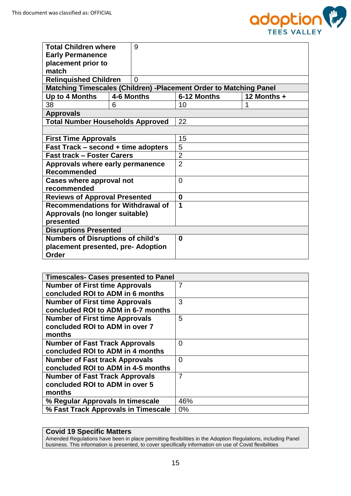

| <b>Total Children where</b>                | 9              |                                                                   |               |  |  |
|--------------------------------------------|----------------|-------------------------------------------------------------------|---------------|--|--|
| <b>Early Permanence</b>                    |                |                                                                   |               |  |  |
| placement prior to                         |                |                                                                   |               |  |  |
| match                                      |                |                                                                   |               |  |  |
| <b>Relinquished Children</b>               | $\overline{0}$ |                                                                   |               |  |  |
|                                            |                | Matching Timescales (Children) -Placement Order to Matching Panel |               |  |  |
| Up to 4 Months                             | 4-6 Months     | 6-12 Months                                                       | 12 Months $+$ |  |  |
| 38                                         | 6              | 10                                                                |               |  |  |
| <b>Approvals</b>                           |                |                                                                   |               |  |  |
| <b>Total Number Households Approved</b>    |                | 22                                                                |               |  |  |
|                                            |                |                                                                   |               |  |  |
| <b>First Time Approvals</b>                |                | 15                                                                |               |  |  |
| <b>Fast Track – second + time adopters</b> |                | 5                                                                 |               |  |  |
| <b>Fast track - Foster Carers</b>          |                | $\overline{2}$                                                    |               |  |  |
| Approvals where early permanence           |                | $\overline{2}$                                                    |               |  |  |
| <b>Recommended</b>                         |                |                                                                   |               |  |  |
| Cases where approval not                   |                | $\Omega$                                                          |               |  |  |
| recommended                                |                |                                                                   |               |  |  |
| <b>Reviews of Approval Presented</b>       |                | 0                                                                 |               |  |  |
| <b>Recommendations for Withdrawal of</b>   |                | 1                                                                 |               |  |  |
| Approvals (no longer suitable)             |                |                                                                   |               |  |  |
| presented                                  |                |                                                                   |               |  |  |
| <b>Disruptions Presented</b>               |                |                                                                   |               |  |  |
| <b>Numbers of Disruptions of child's</b>   |                | $\bf{0}$                                                          |               |  |  |
| placement presented, pre- Adoption         |                |                                                                   |               |  |  |
| Order                                      |                |                                                                   |               |  |  |

| <b>Timescales- Cases presented to Panel</b> |                |
|---------------------------------------------|----------------|
| <b>Number of First time Approvals</b>       | $\overline{7}$ |
| concluded ROI to ADM in 6 months            |                |
| <b>Number of First time Approvals</b>       | 3              |
| concluded ROI to ADM in 6-7 months          |                |
| <b>Number of First time Approvals</b>       | 5              |
| concluded ROI to ADM in over 7              |                |
| months                                      |                |
| <b>Number of Fast Track Approvals</b>       | 0              |
| concluded ROI to ADM in 4 months            |                |
| <b>Number of Fast track Approvals</b>       | $\overline{0}$ |
| concluded ROI to ADM in 4-5 months          |                |
| <b>Number of Fast Track Approvals</b>       | 7              |
| concluded ROI to ADM in over 5              |                |
| months                                      |                |
| % Regular Approvals In timescale            | 46%            |
| % Fast Track Approvals in Timescale         | 0%             |

#### **Covid 19 Specific Matters**

Amended Regulations have been in place permitting flexibilities in the Adoption Regulations, including Panel business. This information is presented, to cover specifically information on use of Covid flexibilities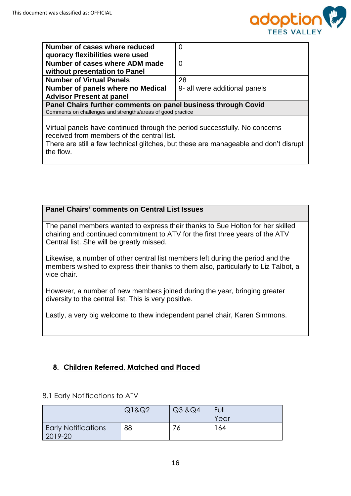

| Number of cases where reduced                                                        | $\overline{0}$                |  |  |  |  |
|--------------------------------------------------------------------------------------|-------------------------------|--|--|--|--|
| quoracy flexibilities were used                                                      |                               |  |  |  |  |
| Number of cases where ADM made                                                       | 0                             |  |  |  |  |
| without presentation to Panel                                                        |                               |  |  |  |  |
| <b>Number of Virtual Panels</b>                                                      | 28                            |  |  |  |  |
| Number of panels where no Medical                                                    | 9- all were additional panels |  |  |  |  |
| <b>Advisor Present at panel</b>                                                      |                               |  |  |  |  |
| Panel Chairs further comments on panel business through Covid                        |                               |  |  |  |  |
| Comments on challenges and strengths/areas of good practice                          |                               |  |  |  |  |
|                                                                                      |                               |  |  |  |  |
| Virtual panels have continued through the period successfully. No concerns           |                               |  |  |  |  |
| received from members of the central list.                                           |                               |  |  |  |  |
| There are still a few technical glitches, but these are manageable and don't disrupt |                               |  |  |  |  |

There are still a few technical glitches, but these are manageable and don't disrupt the flow.

#### **Panel Chairs' comments on Central List Issues**

The panel members wanted to express their thanks to Sue Holton for her skilled chairing and continued commitment to ATV for the first three years of the ATV Central list. She will be greatly missed.

Likewise, a number of other central list members left during the period and the members wished to express their thanks to them also, particularly to Liz Talbot, a vice chair.

However, a number of new members joined during the year, bringing greater diversity to the central list. This is very positive.

Lastly, a very big welcome to thew independent panel chair, Karen Simmons.

#### **8. Children Referred, Matched and Placed**

#### 8.1 Early Notifications to ATV

|                                       | Q1&Q2 | Q3 & Q4 | Full |  |
|---------------------------------------|-------|---------|------|--|
|                                       |       |         | Year |  |
| <b>Early Notifications</b><br>2019-20 | 88    |         | 64   |  |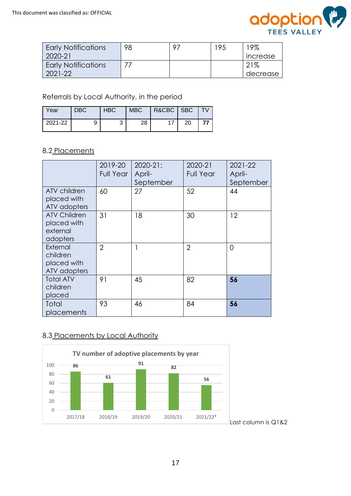

| <b>Early Notifications</b> | 98 | $\circ$ | 195 | 19%                    |
|----------------------------|----|---------|-----|------------------------|
| 2020-21                    |    |         |     | <i><b>Increase</b></i> |
| <b>Early Notifications</b> |    |         |     | 21%                    |
| 2021-22                    |    |         |     | decrease               |

Referrals by Local Authority, in the period

| Year    | <b>DBC</b> | <b>HBC</b> | MBC | R&CBC SBC |    | $\overline{IV}$ |
|---------|------------|------------|-----|-----------|----|-----------------|
| 2021-22 |            |            | 28  | 17        | 20 | 77              |

#### 8.2 Placements

|                                                            | 2019-20<br><b>Full Year</b> | 2020-21:<br>April- | 2020-21<br><b>Full Year</b> | 2021-22<br>April- |
|------------------------------------------------------------|-----------------------------|--------------------|-----------------------------|-------------------|
| ATV children<br>placed with<br>ATV adopters                | 60                          | September<br>27    | 52                          | September<br>44   |
| <b>ATV Children</b><br>placed with<br>external<br>adopters | 31                          | 18                 | 30                          | 12                |
| External<br>children<br>placed with<br>ATV adopters        | $\overline{2}$              | $\mathbf{1}$       | $\overline{2}$              | 0                 |
| <b>Total ATV</b><br>children<br>placed                     | 91                          | 45                 | 82                          | 56                |
| Total<br>placements                                        | 93                          | 46                 | 84                          | 56                |

# 8.3 Placements by Local Authority

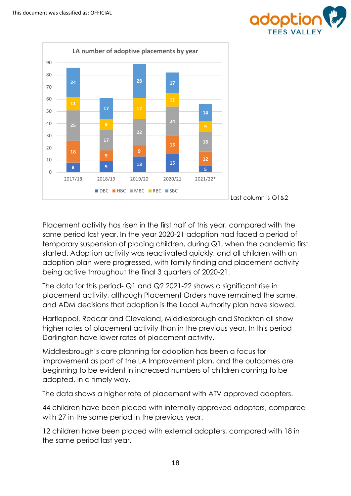



Placement activity has risen in the first half of this year, compared with the same period last year. In the year 2020-21 adoption had faced a period of temporary suspension of placing children, during Q1, when the pandemic first started. Adoption activity was reactivated quickly, and all children with an adoption plan were progressed, with family finding and placement activity being active throughout the final 3 quarters of 2020-21.

The data for this period-  $Q1$  and  $Q2$  2021-22 shows a significant rise in placement activity, although Placement Orders have remained the same, and ADM decisions that adoption is the Local Authority plan have slowed.

Hartlepool, Redcar and Cleveland, Middlesbrough and Stockton all show higher rates of placement activity than in the previous year. In this period Darlington have lower rates of placement activity.

Middlesbrough's care planning for adoption has been a focus for improvement as part of the LA Improvement plan, and the outcomes are beginning to be evident in increased numbers of children coming to be adopted, in a timely way.

The data shows a higher rate of placement with ATV approved adopters.

44 children have been placed with internally approved adopters, compared with 27 in the same period in the previous year.

12 children have been placed with external adopters, compared with 18 in the same period last year.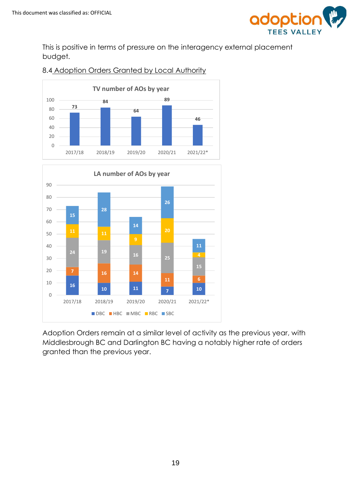

This is positive in terms of pressure on the interagency external placement budget.



# 8.4 Adoption Orders Granted by Local Authority



Adoption Orders remain at a similar level of activity as the previous year, with Middlesbrough BC and Darlington BC having a notably higher rate of orders granted than the previous year.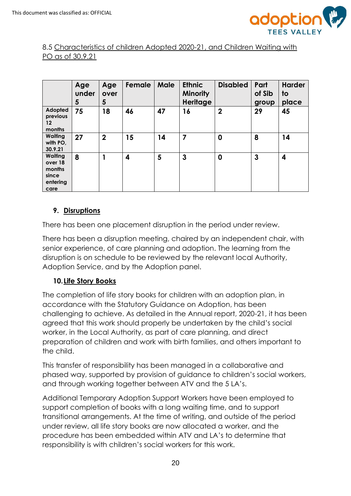

# 8.5 Characteristics of children Adopted 2020-21, and Children Waiting with PO as of 30.9.21

|                                                                  | Age<br>under<br>5 | Age<br>over<br>5 | Female | Male | <b>Ethnic</b><br><b>Minority</b><br><b>Heritage</b> | <b>Disabled</b> | Part<br>of Sib<br>group | <b>Harder</b><br>to<br>place |
|------------------------------------------------------------------|-------------------|------------------|--------|------|-----------------------------------------------------|-----------------|-------------------------|------------------------------|
| Adopted<br>previous<br>12<br>months                              | 75                | 18               | 46     | 47   | 16                                                  | $\mathbf 2$     | 29                      | 45                           |
| Waiting<br>with PO,<br>30.9.21                                   | 27                | $\overline{2}$   | 15     | 14   | 7                                                   | $\mathbf 0$     | 8                       | 14                           |
| <b>Waiting</b><br>over 18<br>months<br>since<br>entering<br>care | 8                 |                  | 4      | 5    | 3                                                   | $\mathbf 0$     | 3                       | 4                            |

# **9. Disruptions**

There has been one placement disruption in the period under review.

There has been a disruption meeting, chaired by an independent chair, with senior experience, of care planning and adoption. The learning from the disruption is on schedule to be reviewed by the relevant local Authority, Adoption Service, and by the Adoption panel.

# **10.Life Story Books**

The completion of life story books for children with an adoption plan, in accordance with the Statutory Guidance on Adoption, has been challenging to achieve. As detailed in the Annual report, 2020-21, it has been agreed that this work should properly be undertaken by the child's social worker, in the Local Authority, as part of care planning, and direct preparation of children and work with birth families, and others important to the child.

This transfer of responsibility has been managed in a collaborative and phased way, supported by provision of guidance to children's social workers, and through working together between ATV and the 5 LA's.

Additional Temporary Adoption Support Workers have been employed to support completion of books with a long waiting time, and to support transitional arrangements. At the time of writing, and outside of the period under review, all life story books are now allocated a worker, and the procedure has been embedded within ATV and LA's to determine that responsibility is with children's social workers for this work.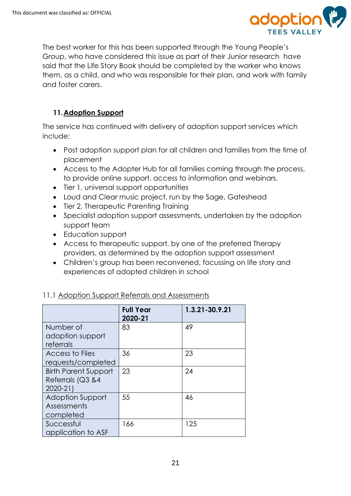

The best worker for this has been supported through the Young People's Group, who have considered this issue as part of their Junior research have said that the Life Story Book should be completed by the worker who knows them, as a child, and who was responsible for their plan, and work with family and foster carers.

# **11.Adoption Support**

The service has continued with delivery of adoption support services which include:

- Post adoption support plan for all children and families from the time of placement
- Access to the Adopter Hub for all families coming through the process, to provide online support, access to information and webinars.
- Tier 1, universal support opportunities
- Loud and Clear music project, run by the Sage, Gateshead
- Tier 2, Therapeutic Parenting Training
- Specialist adoption support assessments, undertaken by the adoption support team
- Education support
- Access to therapeutic support, by one of the preferred Therapy providers, as determined by the adoption support assessment
- Children's group has been reconvened, focussing on life story and experiences of adopted children in school

|                             | <b>Full Year</b><br>2020-21 | 1.3.21-30.9.21 |
|-----------------------------|-----------------------------|----------------|
| Number of                   | 83                          | 49             |
| adoption support            |                             |                |
| referrals                   |                             |                |
| Access to Files             | 36                          | 23             |
| requests/completed          |                             |                |
| <b>Birth Parent Support</b> | 23                          | 24             |
| Referrals (Q3 &4            |                             |                |
| 2020-21)                    |                             |                |
| <b>Adoption Support</b>     | 55                          | 46             |
| Assessments                 |                             |                |
| completed                   |                             |                |
| Successful                  | 166                         | 125            |
| application to ASF          |                             |                |

# 11.1 Adoption Support Referrals and Assessments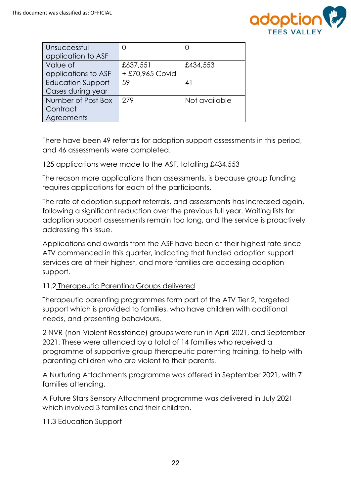

| Unsuccessful<br>application to ASF                  | $\left( \right)$            |               |
|-----------------------------------------------------|-----------------------------|---------------|
| Value of<br>applications to ASF                     | £637,551<br>+ £70,965 Covid | £434,553      |
| <b>Education Support</b><br>Cases during year       | 59                          | 41            |
| Number of Post Box<br>Contract<br><b>Agreements</b> | 279                         | Not available |

There have been 49 referrals for adoption support assessments in this period, and 46 assessments were completed.

125 applications were made to the ASF, totalling £434,553

The reason more applications than assessments, is because group funding requires applications for each of the participants.

The rate of adoption support referrals, and assessments has increased again, following a significant reduction over the previous full year. Waiting lists for adoption support assessments remain too long, and the service is proactively addressing this issue.

Applications and awards from the ASF have been at their highest rate since ATV commenced in this quarter, indicating that funded adoption support services are at their highest, and more families are accessing adoption support.

#### 11.2 Therapeutic Parenting Groups delivered

Therapeutic parenting programmes form part of the ATV Tier 2, targeted support which is provided to families, who have children with additional needs, and presenting behaviours.

2 NVR (non-Violent Resistance) groups were run in April 2021, and September 2021. These were attended by a total of 14 families who received a programme of supportive group therapeutic parenting training, to help with parenting children who are violent to their parents.

A Nurturing Attachments programme was offered in September 2021, with 7 families attending.

A Future Stars Sensory Attachment programme was delivered in July 2021 which involved 3 families and their children.

#### 11.3 Education Support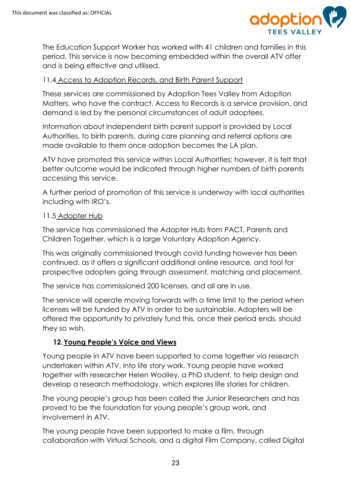

The Education Support Worker has worked with 41 children and families in this period. This service is now becoming embedded within the overall ATV offer and is being effective and utilised.

# 11.4 Access to Adoption Records, and Birth Parent Support

These services are commissioned by Adoption Tees Valley from Adoption Matters, who have the contract. Access to Records is a service provision, and demand is led by the personal circumstances of adult adoptees.

Information about independent birth parent support is provided by Local Authorities, to birth parents, during care planning and referral options are made available to them once adoption becomes the LA plan.

ATV have promoted this service within Local Authorities; however, it is felt that better outcome would be indicated through higher numbers of birth parents accessing this service.

A further period of promotion of this service is underway with local authorities including with IRO's.

#### 11.5 Adopter Hub

The service has commissioned the Adopter Hub from PACT, Parents and Children Together, which is a large Voluntary Adoption Agency.

This was originally commissioned through covid funding however has been continued, as it offers a significant additional online resource, and tool for prospective adopters going through assessment, matching and placement.

The service has commissioned 200 licenses, and all are in use.

The service will operate moving forwards with a time limit to the period when licenses will be funded by ATV in order to be sustainable. Adopters will be offered the opportunity to privately fund this, once their period ends, should they so wish.

# **12.Young People's Voice and Views**

Young people in ATV have been supported to come together via research undertaken within ATV, into life story work. Young people have worked together with researcher Helen Woolley, a PhD student, to help design and develop a research methodology, which explores life stories for children.

The young people's group has been called the Junior Researchers and has proved to be the foundation for young people's group work, and involvement in ATV.

The young people have been supported to make a film, through collaboration with Virtual Schools, and a digital Film Company, called Digital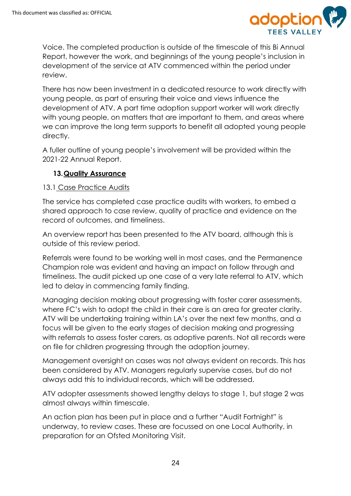

Voice. The completed production is outside of the timescale of this Bi Annual Report, however the work, and beginnings of the young people's inclusion in development of the service at ATV commenced within the period under review.

There has now been investment in a dedicated resource to work directly with young people, as part of ensuring their voice and views influence the development of ATV. A part time adoption support worker will work directly with young people, on matters that are important to them, and areas where we can improve the long term supports to benefit all adopted young people directly.

A fuller outline of young people's involvement will be provided within the 2021-22 Annual Report.

# **13.Quality Assurance**

#### 13.1 Case Practice Audits

The service has completed case practice audits with workers, to embed a shared approach to case review, quality of practice and evidence on the record of outcomes, and timeliness.

An overview report has been presented to the ATV board, although this is outside of this review period.

Referrals were found to be working well in most cases, and the Permanence Champion role was evident and having an impact on follow through and timeliness. The audit picked up one case of a very late referral to ATV, which led to delay in commencing family finding.

Managing decision making about progressing with foster carer assessments, where FC's wish to adopt the child in their care is an area for greater clarity. ATV will be undertaking training within LA's over the next few months, and a focus will be given to the early stages of decision making and progressing with referrals to assess foster carers, as adoptive parents. Not all records were on file for children progressing through the adoption journey.

Management oversight on cases was not always evident on records. This has been considered by ATV. Managers regularly supervise cases, but do not always add this to individual records, which will be addressed.

ATV adopter assessments showed lengthy delays to stage 1, but stage 2 was almost always within timescale.

An action plan has been put in place and a further "Audit Fortnight" is underway, to review cases. These are focussed on one Local Authority, in preparation for an Ofsted Monitoring Visit.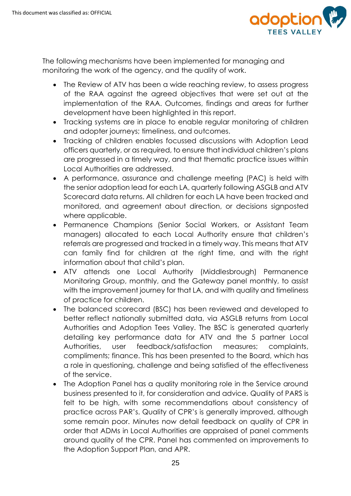

The following mechanisms have been implemented for managing and monitoring the work of the agency, and the quality of work.

- The Review of ATV has been a wide reaching review, to assess progress of the RAA against the agreed objectives that were set out at the implementation of the RAA. Outcomes, findings and areas for further development have been highlighted in this report.
- Tracking systems are in place to enable regular monitoring of children and adopter journeys; timeliness, and outcomes.
- Tracking of children enables focussed discussions with Adoption Lead officers quarterly, or as required, to ensure that individual children's plans are progressed in a timely way, and that thematic practice issues within Local Authorities are addressed.
- A performance, assurance and challenge meeting (PAC) is held with the senior adoption lead for each LA, quarterly following ASGLB and ATV Scorecard data returns. All children for each LA have been tracked and monitored, and agreement about direction, or decisions signposted where applicable.
- Permanence Champions (Senior Social Workers, or Assistant Team managers) allocated to each Local Authority ensure that children's referrals are progressed and tracked in a timely way. This means that ATV can family find for children at the right time, and with the right information about that child's plan.
- ATV attends one Local Authority (Middlesbrough) Permanence Monitoring Group, monthly, and the Gateway panel monthly, to assist with the improvement journey for that LA, and with quality and timeliness of practice for children.
- The balanced scorecard (BSC) has been reviewed and developed to better reflect nationally submitted data, via ASGLB returns from Local Authorities and Adoption Tees Valley. The BSC is generated quarterly detailing key performance data for ATV and the 5 partner Local Authorities, user feedback/satisfaction measures; complaints, compliments; finance. This has been presented to the Board, which has a role in questioning, challenge and being satisfied of the effectiveness of the service.
- The Adoption Panel has a quality monitoring role in the Service around business presented to it, for consideration and advice. Quality of PARS is felt to be high, with some recommendations about consistency of practice across PAR's. Quality of CPR's is generally improved, although some remain poor. Minutes now detail feedback on quality of CPR in order that ADMs in Local Authorities are appraised of panel comments around quality of the CPR. Panel has commented on improvements to the Adoption Support Plan, and APR.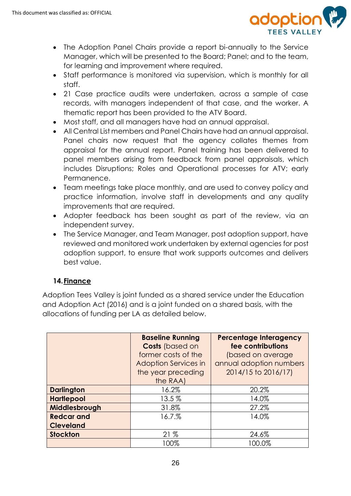

- The Adoption Panel Chairs provide a report bi-annually to the Service Manager, which will be presented to the Board; Panel; and to the team, for learning and improvement where required.
- Staff performance is monitored via supervision, which is monthly for all staff.
- 21 Case practice audits were undertaken, across a sample of case records, with managers independent of that case, and the worker. A thematic report has been provided to the ATV Board.
- Most staff, and all managers have had an annual appraisal.
- All Central List members and Panel Chairs have had an annual appraisal. Panel chairs now request that the agency collates themes from appraisal for the annual report. Panel training has been delivered to panel members arising from feedback from panel appraisals, which includes Disruptions; Roles and Operational processes for ATV; early Permanence.
- Team meetings take place monthly, and are used to convey policy and practice information, involve staff in developments and any quality improvements that are required.
- Adopter feedback has been sought as part of the review, via an independent survey.
- The Service Manager, and Team Manager, post adoption support, have reviewed and monitored work undertaken by external agencies for post adoption support, to ensure that work supports outcomes and delivers best value.

# **14.Finance**

Adoption Tees Valley is joint funded as a shared service under the Education and Adoption Act (2016) and is a joint funded on a shared basis, with the allocations of funding per LA as detailed below.

|                   | <b>Baseline Running</b><br><b>Costs (based on</b><br>former costs of the<br><b>Adoption Services in</b><br>the year preceding<br>the RAA) | <b>Percentage Interagency</b><br>fee contributions<br>(based on average<br>annual adoption numbers<br>2014/15 to 2016/17) |
|-------------------|-------------------------------------------------------------------------------------------------------------------------------------------|---------------------------------------------------------------------------------------------------------------------------|
| <b>Darlington</b> | 16.2%                                                                                                                                     | 20.2%                                                                                                                     |
| <b>Hartlepool</b> | 13.5%                                                                                                                                     | 14.0%                                                                                                                     |
| Middlesbrough     | 31.8%                                                                                                                                     | 27.2%                                                                                                                     |
| <b>Redcar and</b> | 16.7.%                                                                                                                                    | 14.0%                                                                                                                     |
| <b>Cleveland</b>  |                                                                                                                                           |                                                                                                                           |
| <b>Stockton</b>   | 21%                                                                                                                                       | 24.6%                                                                                                                     |
|                   | 100%                                                                                                                                      | 100.0%                                                                                                                    |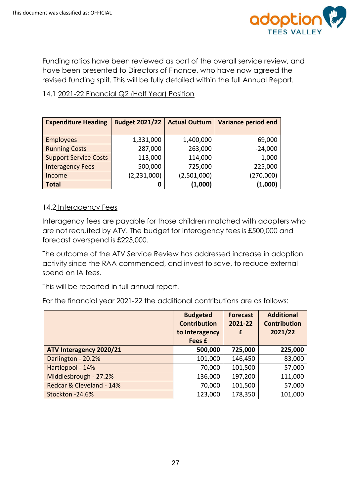

Funding ratios have been reviewed as part of the overall service review, and have been presented to Directors of Finance, who have now agreed the revised funding split. This will be fully detailed within the full Annual Report.

# 14.1 2021-22 Financial Q2 (Half Year) Position

| <b>Expenditure Heading</b>   | <b>Budget 2021/22</b> | <b>Actual Outturn</b> | <b>Variance period end</b> |
|------------------------------|-----------------------|-----------------------|----------------------------|
|                              |                       |                       |                            |
| <b>Employees</b>             | 1,331,000             | 1,400,000             | 69,000                     |
| <b>Running Costs</b>         | 287,000               | 263,000               | $-24,000$                  |
| <b>Support Service Costs</b> | 113,000               | 114,000               | 1,000                      |
| <b>Interagency Fees</b>      | 500,000               | 725,000               | 225,000                    |
| Income                       | (2, 231, 000)         | (2,501,000)           | (270,000)                  |
| <b>Total</b>                 | 0                     | (1,000)               | (1,000)                    |

#### 14.2 Interagency Fees

Interagency fees are payable for those children matched with adopters who are not recruited by ATV. The budget for interagency fees is £500,000 and forecast overspend is £225,000.

The outcome of the ATV Service Review has addressed increase in adoption activity since the RAA commenced, and invest to save, to reduce external spend on IA fees.

This will be reported in full annual report.

For the financial year 2021-22 the additional contributions are as follows:

|                          | <b>Budgeted</b><br><b>Contribution</b><br>to Interagency<br>Fees £ | <b>Forecast</b><br>2021-22<br>£ | <b>Additional</b><br><b>Contribution</b><br>2021/22 |
|--------------------------|--------------------------------------------------------------------|---------------------------------|-----------------------------------------------------|
| ATV Interagency 2020/21  | 500,000                                                            | 725,000                         | 225,000                                             |
| Darlington - 20.2%       | 101,000                                                            | 146,450                         | 83,000                                              |
| Hartlepool - 14%         | 70,000                                                             | 101,500                         | 57,000                                              |
| Middlesbrough - 27.2%    | 136,000                                                            | 197,200                         | 111,000                                             |
| Redcar & Cleveland - 14% | 70,000                                                             | 101,500                         | 57,000                                              |
| Stockton - 24.6%         | 123,000                                                            | 178,350                         | 101,000                                             |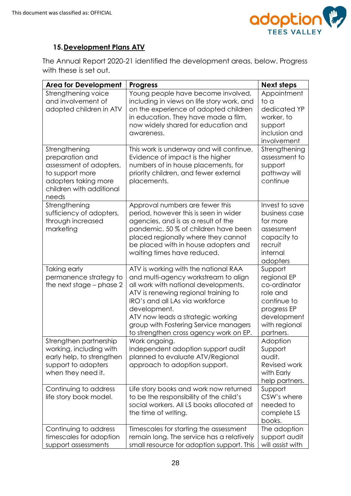

# **15.Development Plans ATV**

The Annual Report 2020-21 identified the development areas, below. Progress with these is set out.

| <b>Area for Development</b>                                                                                                 | <b>Progress</b>                                                                                                                                                                                                                                                                                                                         | <b>Next steps</b>                                                                                                             |
|-----------------------------------------------------------------------------------------------------------------------------|-----------------------------------------------------------------------------------------------------------------------------------------------------------------------------------------------------------------------------------------------------------------------------------------------------------------------------------------|-------------------------------------------------------------------------------------------------------------------------------|
| Strengthening voice<br>and involvement of<br>adopted children in ATV<br>Strengthening                                       | Young people have become involved,<br>including in views on life story work, and<br>on the experience of adopted children<br>in education. They have made a film,<br>now widely shared for education and<br>awareness.<br>This work is underway and will continue.                                                                      | Appointment<br>to a<br>dedicated YP<br>worker, to<br>support<br>inclusion and<br>involvement<br>Strengthening                 |
| preparation and<br>assessment of adopters,<br>to support more<br>adopters taking more<br>children with additional<br>needs  | Evidence of impact is the higher<br>numbers of in house placements, for<br>priority children, and fewer external<br>placements.                                                                                                                                                                                                         | assessment to<br>support<br>pathway will<br>continue                                                                          |
| Strengthening<br>sufficiency of adopters,<br>through increased<br>marketing                                                 | Approval numbers are fewer this<br>period, however this is seen in wider<br>agencies, and is as a result of the<br>pandemic. 50 % of children have been<br>placed regionally where they cannot<br>be placed with in house adopters and<br>waiting times have reduced.                                                                   | Invest to save<br>business case<br>for more<br>assessment<br>capacity to<br>recruit<br>internal<br>adopters                   |
| Taking early<br>permanence strategy to<br>the next stage – phase 2                                                          | ATV is working with the national RAA<br>and multi-agency workstream to align<br>all work with national developments.<br>ATV is renewing regional training to<br>IRO's and all LAs via workforce<br>development.<br>ATV now leads a strategic working<br>group with Fostering Service managers<br>to strengthen cross agency work on EP. | Support<br>regional EP<br>co-ordinator<br>role and<br>continue to<br>progress EP<br>development<br>with regional<br>partners. |
| Strengthen partnership<br>working, including with<br>early help, to strengthen<br>support to adopters<br>when they need it. | Work ongoing.<br>Independent adoption support audit<br>planned to evaluate ATV/Regional<br>approach to adoption support.                                                                                                                                                                                                                | Adoption<br>Support<br>audit.<br>Revised work<br>with Early<br>help partners.                                                 |
| Continuing to address<br>life story book model.                                                                             | Life story books and work now returned<br>to be the responsibility of the child's<br>social workers. All LS books allocated at<br>the time of writing.                                                                                                                                                                                  | Support<br>CSW's where<br>needed to<br>complete LS<br>books.                                                                  |
| Continuing to address<br>timescales for adoption<br>support assessments                                                     | Timescales for starting the assessment<br>remain long. The service has a relatively<br>small resource for adoption support. This                                                                                                                                                                                                        | The adoption<br>support audit<br>will assist with                                                                             |